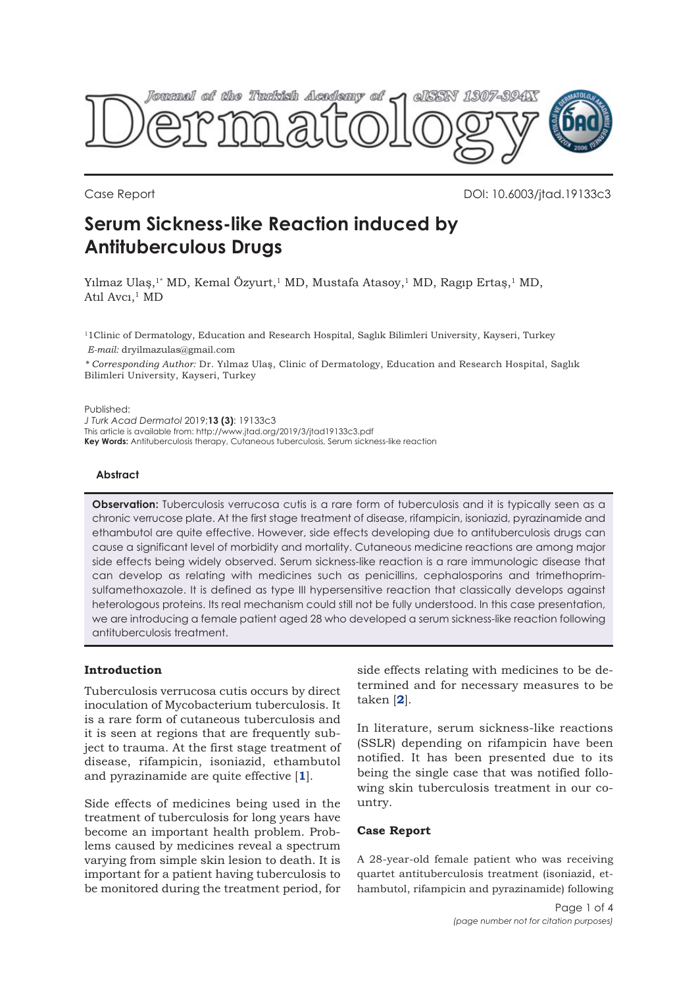

Case Report DOI: 10.6003/jtad.19133c3

# **Serum Sickness-like Reaction induced by Antituberculous Drugs**

Yılmaz Ulaş,<sup>1\*</sup> MD, Kemal Özyurt,<sup>1</sup> MD, Mustafa Atasoy,<sup>1</sup> MD, Ragıp Ertaş,<sup>1</sup> MD, Atıl  $A$ vcı, $1$  MD

11Clinic of Dermatology, Education and Research Hospital, Saglık Bilimleri University, Kayseri, Turkey

*E-mail:* dryilmazulas@gmail.com

*\* Corresponding Author:* Dr. Yılmaz Ulaş, Clinic of Dermatology, Education and Research Hospital, Saglık Bilimleri University, Kayseri, Turkey

Published:

*J Turk Acad Dermatol* 2019;**13 (3)**: 19133c3

This article is available from: http://www.jtad.org/2019/3/jtad19133c3.pdf

**Key Words:** Antituberculosis therapy, Cutaneous tuberculosis, Serum sickness-like reaction

### **Abstract**

**Observation:** Tuberculosis verrucosa cutis is a rare form of tuberculosis and it is typically seen as a chronic verrucose plate. At the first stage treatment of disease, rifampicin, isoniazid, pyrazinamide and ethambutol are quite effective. However, side effects developing due to antituberculosis drugs can cause a significant level of morbidity and mortality. Cutaneous medicine reactions are among major side effects being widely observed. Serum sickness-like reaction is a rare immunologic disease that can develop as relating with medicines such as penicillins, cephalosporins and trimethoprimsulfamethoxazole. It is defined as type III hypersensitive reaction that classically develops against heterologous proteins. Its real mechanism could still not be fully understood. In this case presentation, we are introducing a female patient aged 28 who developed a serum sickness-like reaction following antituberculosis treatment.

# **Introduction**

Tuberculosis verrucosa cutis occurs by direct inoculation of Mycobacterium tuberculosis. It is a rare form of cutaneous tuberculosis and it is seen at regions that are frequently subject to trauma. At the first stage treatment of disease, rifampicin, isoniazid, ethambutol and pyrazinamide are quite effective [**[1](#page-3-0)**].

Side effects of medicines being used in the treatment of tuberculosis for long years have become an important health problem. Problems caused by medicines reveal a spectrum varying from simple skin lesion to death. It is important for a patient having tuberculosis to be monitored during the treatment period, for side effects relating with medicines to be determined and for necessary measures to be taken [**[2](#page-3-0)**].

In literature, serum sickness-like reactions (SSLR) depending on rifampicin have been notified. It has been presented due to its being the single case that was notified following skin tuberculosis treatment in our country.

# **Case Report**

A 28-year-old female patient who was receiving quartet antituberculosis treatment (isoniazid, ethambutol, rifampicin and pyrazinamide) following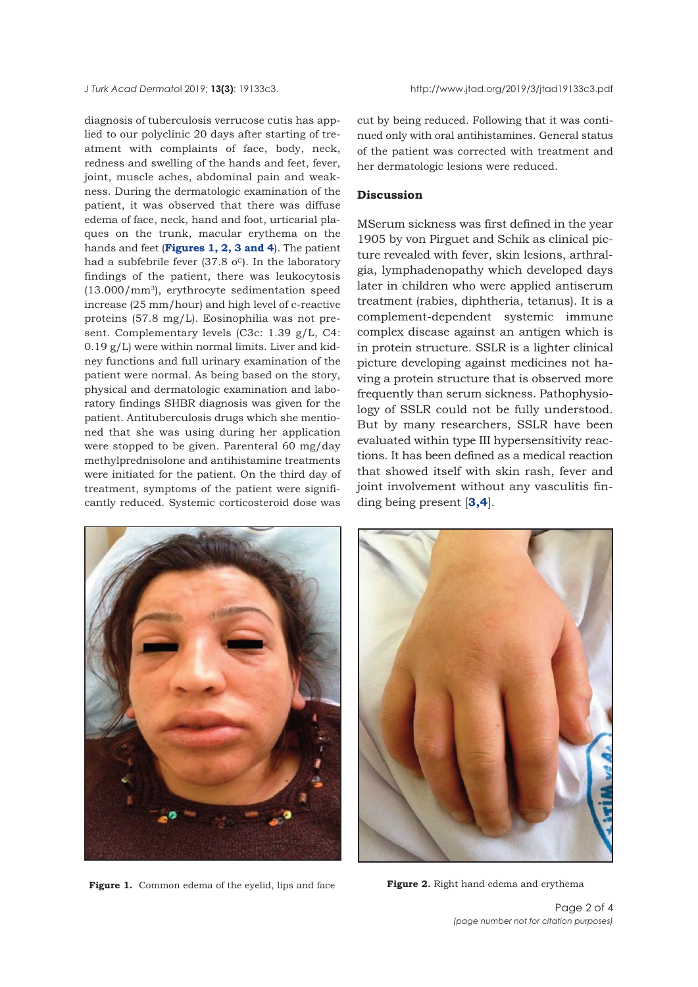diagnosis of tuberculosis verrucose cutis has applied to our polyclinic 20 days after starting of treatment with complaints of face, body, neck, redness and swelling of the hands and feet, fever, joint, muscle aches, abdominal pain and weakness. During the dermatologic examination of the patient, it was observed that there was diffuse edema of face, neck, hand and foot, urticarial plaques on the trunk, macular erythema on the hands and feet (**Figures 1, 2, [3 and 4](#page-2-0)**). The patient had a subfebrile fever (37.8  $o^c$ ). In the laboratory findings of the patient, there was leukocytosis  $(13.000/mm<sup>3</sup>)$ , erythrocyte sedimentation speed increase (25 mm/hour) and high level of c-reactive proteins (57.8 mg/L). Eosinophilia was not present. Complementary levels (C3c: 1.39 g/L, C4: 0.19 g/L) were within normal limits. Liver and kidney functions and full urinary examination of the patient were normal. As being based on the story, physical and dermatologic examination and laboratory findings SHBR diagnosis was given for the patient. Antituberculosis drugs which she mentioned that she was using during her application were stopped to be given. Parenteral 60 mg/day methylprednisolone and antihistamine treatments were initiated for the patient. On the third day of treatment, symptoms of the patient were significantly reduced. Systemic corticosteroid dose was

cut by being reduced. Following that it was continued only with oral antihistamines. General status of the patient was corrected with treatment and her dermatologic lesions were reduced.

#### **Discussion**

MSerum sickness was first defined in the year 1905 by von Pirguet and Schik as clinical picture revealed with fever, skin lesions, arthralgia, lymphadenopathy which developed days later in children who were applied antiserum treatment (rabies, diphtheria, tetanus). It is a complement-dependent systemic immune complex disease against an antigen which is in protein structure. SSLR is a lighter clinical picture developing against medicines not having a protein structure that is observed more frequently than serum sickness. Pathophysiology of SSLR could not be fully understood. But by many researchers, SSLR have been evaluated within type III hypersensitivity reactions. It has been defined as a medical reaction that showed itself with skin rash, fever and joint involvement without any vasculitis finding being present [**[3,4](#page-3-0)**].



**Figure 1.** Common edema of the eyelid, lips and face **Figure 2.** Right hand edema and erythema

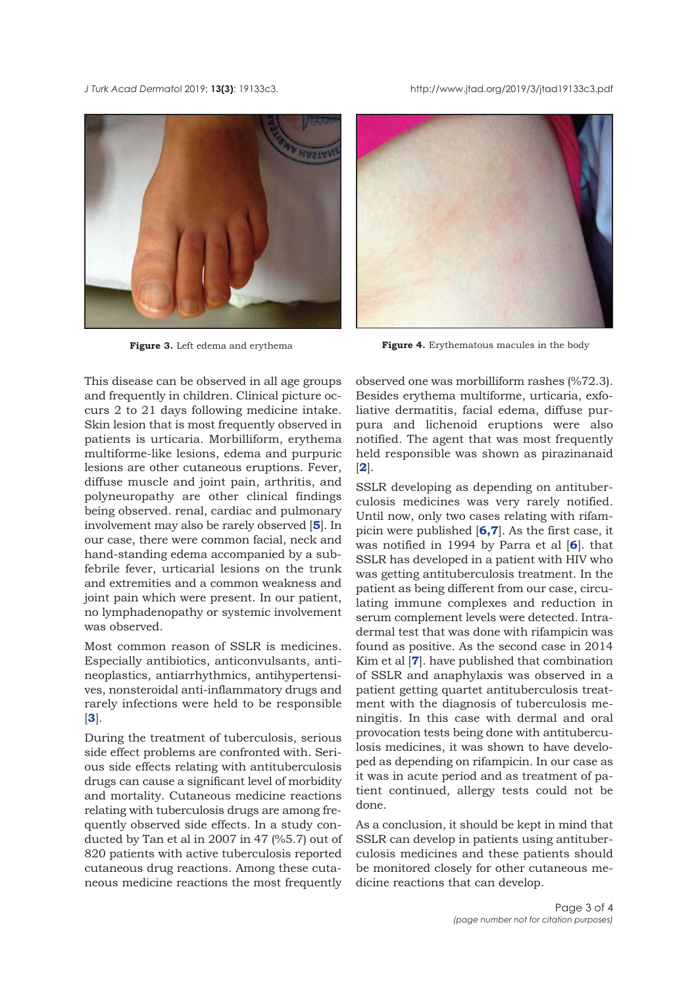<span id="page-2-0"></span>*J Turk Acad Dermato*l 2019; **13(3)**: 19133c3. http://www.jtad.org/2019/3/jtad19133c3.pdf





**Figure 3.** Left edema and erythema **Figure 4.** Erythematous macules in the body

This disease can be observed in all age groups and frequently in children. Clinical picture occurs 2 to 21 days following medicine intake. Skin lesion that is most frequently observed in patients is urticaria. Morbilliform, erythema multiforme-like lesions, edema and purpuric lesions are other cutaneous eruptions. Fever, diffuse muscle and joint pain, arthritis, and polyneuropathy are other clinical findings being observed. renal, cardiac and pulmonary involvement may also be rarely observed [**[5](#page-3-0)**]. In our case, there were common facial, neck and hand-standing edema accompanied by a subfebrile fever, urticarial lesions on the trunk and extremities and a common weakness and joint pain which were present. In our patient, no lymphadenopathy or systemic involvement was observed.

Most common reason of SSLR is medicines. Especially antibiotics, anticonvulsants, antineoplastics, antiarrhythmics, antihypertensives, nonsteroidal anti-inflammatory drugs and rarely infections were held to be responsible [**[3](#page-3-0)**].

During the treatment of tuberculosis, serious side effect problems are confronted with. Serious side effects relating with antituberculosis drugs can cause a significant level of morbidity and mortality. Cutaneous medicine reactions relating with tuberculosis drugs are among frequently observed side effects. In a study conducted by Tan et al in 2007 in 47 (%5.7) out of 820 patients with active tuberculosis reported cutaneous drug reactions. Among these cutaneous medicine reactions the most frequently observed one was morbilliform rashes (%72.3). Besides erythema multiforme, urticaria, exfoliative dermatitis, facial edema, diffuse purpura and lichenoid eruptions were also notified. The agent that was most frequently held responsible was shown as pirazinanaid [**[2](#page-3-0)**].

SSLR developing as depending on antituberculosis medicines was very rarely notified. Until now, only two cases relating with rifampicin were published [**[6,7](#page-3-0)**]. As the first case, it was notified in 1994 by Parra et al [**[6](#page-3-0)**]. that SSLR has developed in a patient with HIV who was getting antituberculosis treatment. In the patient as being different from our case, circulating immune complexes and reduction in serum complement levels were detected. Intradermal test that was done with rifampicin was found as positive. As the second case in 2014 Kim et al [**[7](#page-3-0)**]. have published that combination of SSLR and anaphylaxis was observed in a patient getting quartet antituberculosis treatment with the diagnosis of tuberculosis meningitis. In this case with dermal and oral provocation tests being done with antituberculosis medicines, it was shown to have developed as depending on rifampicin. In our case as it was in acute period and as treatment of patient continued, allergy tests could not be done.

As a conclusion, it should be kept in mind that SSLR can develop in patients using antituberculosis medicines and these patients should be monitored closely for other cutaneous medicine reactions that can develop.